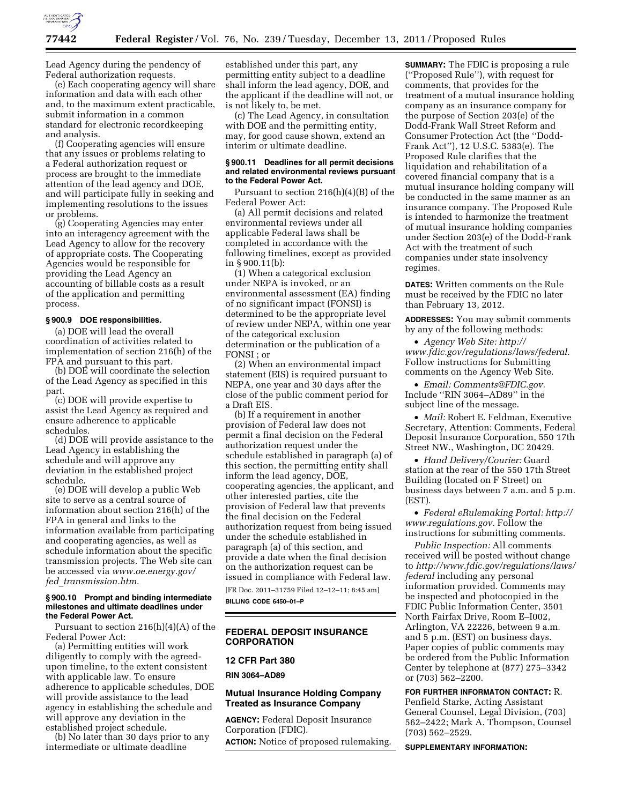

Lead Agency during the pendency of Federal authorization requests.

(e) Each cooperating agency will share information and data with each other and, to the maximum extent practicable, submit information in a common standard for electronic recordkeeping and analysis.

(f) Cooperating agencies will ensure that any issues or problems relating to a Federal authorization request or process are brought to the immediate attention of the lead agency and DOE, and will participate fully in seeking and implementing resolutions to the issues or problems.

(g) Cooperating Agencies may enter into an interagency agreement with the Lead Agency to allow for the recovery of appropriate costs. The Cooperating Agencies would be responsible for providing the Lead Agency an accounting of billable costs as a result of the application and permitting process.

### **§ 900.9 DOE responsibilities.**

(a) DOE will lead the overall coordination of activities related to implementation of section 216(h) of the FPA and pursuant to this part.

(b) DOE will coordinate the selection of the Lead Agency as specified in this part.

(c) DOE will provide expertise to assist the Lead Agency as required and ensure adherence to applicable schedules.

(d) DOE will provide assistance to the Lead Agency in establishing the schedule and will approve any deviation in the established project schedule.

(e) DOE will develop a public Web site to serve as a central source of information about section 216(h) of the FPA in general and links to the information available from participating and cooperating agencies, as well as schedule information about the specific transmission projects. The Web site can be accessed via *[www.oe.energy.gov/](http://www.oe.energy.gov/fed_transmission.htm)  fed*\_*[transmission.htm](http://www.oe.energy.gov/fed_transmission.htm)*.

### **§ 900.10 Prompt and binding intermediate milestones and ultimate deadlines under the Federal Power Act.**

Pursuant to section 216(h)(4)(A) of the Federal Power Act:

(a) Permitting entities will work diligently to comply with the agreedupon timeline, to the extent consistent with applicable law. To ensure adherence to applicable schedules, DOE will provide assistance to the lead agency in establishing the schedule and will approve any deviation in the established project schedule.

(b) No later than 30 days prior to any intermediate or ultimate deadline

established under this part, any permitting entity subject to a deadline shall inform the lead agency, DOE, and the applicant if the deadline will not, or is not likely to, be met.

(c) The Lead Agency, in consultation with DOE and the permitting entity, may, for good cause shown, extend an interim or ultimate deadline.

### **§ 900.11 Deadlines for all permit decisions and related environmental reviews pursuant to the Federal Power Act.**

Pursuant to section 216(h)(4)(B) of the Federal Power Act:

(a) All permit decisions and related environmental reviews under all applicable Federal laws shall be completed in accordance with the following timelines, except as provided in § 900.11(b):

(1) When a categorical exclusion under NEPA is invoked, or an environmental assessment (EA) finding of no significant impact (FONSI) is determined to be the appropriate level of review under NEPA, within one year of the categorical exclusion determination or the publication of a FONSI ; or

(2) When an environmental impact statement (EIS) is required pursuant to NEPA, one year and 30 days after the close of the public comment period for a Draft EIS.

(b) If a requirement in another provision of Federal law does not permit a final decision on the Federal authorization request under the schedule established in paragraph (a) of this section, the permitting entity shall inform the lead agency, DOE, cooperating agencies, the applicant, and other interested parties, cite the provision of Federal law that prevents the final decision on the Federal authorization request from being issued under the schedule established in paragraph (a) of this section, and provide a date when the final decision on the authorization request can be issued in compliance with Federal law.

[FR Doc. 2011–31759 Filed 12–12–11; 8:45 am] **BILLING CODE 6450–01–P** 

## **FEDERAL DEPOSIT INSURANCE CORPORATION**

### **12 CFR Part 380**

**RIN 3064–AD89** 

## **Mutual Insurance Holding Company Treated as Insurance Company**

**AGENCY:** Federal Deposit Insurance Corporation (FDIC). **ACTION:** Notice of proposed rulemaking. **SUMMARY:** The FDIC is proposing a rule (''Proposed Rule''), with request for comments, that provides for the treatment of a mutual insurance holding company as an insurance company for the purpose of Section 203(e) of the Dodd-Frank Wall Street Reform and Consumer Protection Act (the ''Dodd-Frank Act''), 12 U.S.C. 5383(e). The Proposed Rule clarifies that the liquidation and rehabilitation of a covered financial company that is a mutual insurance holding company will be conducted in the same manner as an insurance company. The Proposed Rule is intended to harmonize the treatment of mutual insurance holding companies under Section 203(e) of the Dodd-Frank Act with the treatment of such companies under state insolvency regimes.

**DATES:** Written comments on the Rule must be received by the FDIC no later than February 13, 2012.

**ADDRESSES:** You may submit comments by any of the following methods:

• *Agency Web Site: [http://](http://www.fdic.gov/regulations/laws/federal)  [www.fdic.gov/regulations/laws/federal.](http://www.fdic.gov/regulations/laws/federal)*  Follow instructions for Submitting comments on the Agency Web Site.

• *Email: [Comments@FDIC.gov.](mailto:Comments@FDIC.gov)*  Include ''RIN 3064–AD89'' in the subject line of the message.

• *Mail:* Robert E. Feldman, Executive Secretary, Attention: Comments, Federal Deposit Insurance Corporation, 550 17th Street NW., Washington, DC 20429.

• *Hand Delivery/Courier:* Guard station at the rear of the 550 17th Street Building (located on F Street) on business days between 7 a.m. and 5 p.m. (EST).

• *Federal eRulemaking Portal: [http://](http://www.regulations.gov)  [www.regulations.gov.](http://www.regulations.gov)* Follow the instructions for submitting comments.

*Public Inspection:* All comments received will be posted without change to *[http://www.fdic.gov/regulations/laws/](http://www.fdic.gov/regulations/laws/federal)  [federal](http://www.fdic.gov/regulations/laws/federal)* including any personal information provided. Comments may be inspected and photocopied in the FDIC Public Information Center, 3501 North Fairfax Drive, Room E–I002, Arlington, VA 22226, between 9 a.m. and 5 p.m. (EST) on business days. Paper copies of public comments may be ordered from the Public Information Center by telephone at (877) 275–3342 or (703) 562–2200.

**FOR FURTHER INFORMATON CONTACT:** R. Penfield Starke, Acting Assistant General Counsel, Legal Division, (703) 562–2422; Mark A. Thompson, Counsel (703) 562–2529.

**SUPPLEMENTARY INFORMATION:**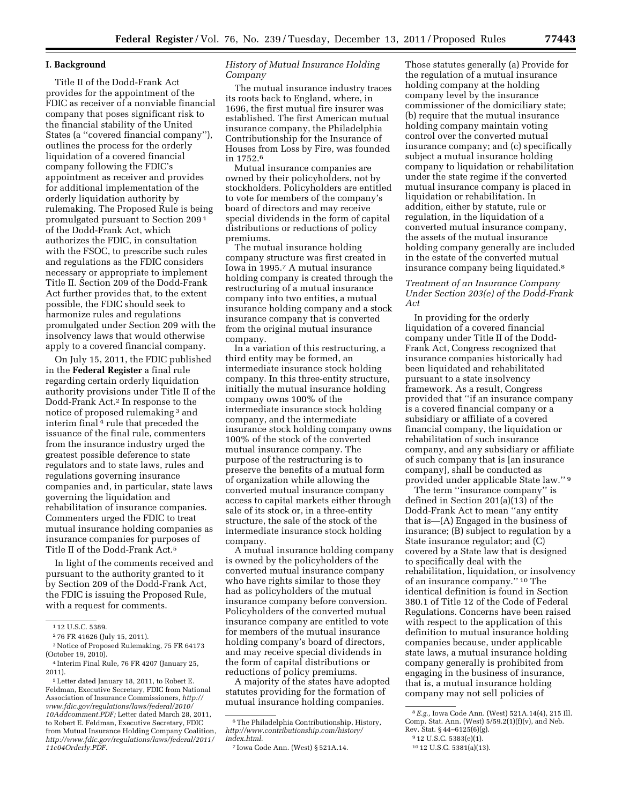## **I. Background**

Title II of the Dodd-Frank Act provides for the appointment of the FDIC as receiver of a nonviable financial company that poses significant risk to the financial stability of the United States (a ''covered financial company''), outlines the process for the orderly liquidation of a covered financial company following the FDIC's appointment as receiver and provides for additional implementation of the orderly liquidation authority by rulemaking. The Proposed Rule is being promulgated pursuant to Section 209 1 of the Dodd-Frank Act, which authorizes the FDIC, in consultation with the FSOC, to prescribe such rules and regulations as the FDIC considers necessary or appropriate to implement Title II. Section 209 of the Dodd-Frank Act further provides that, to the extent possible, the FDIC should seek to harmonize rules and regulations promulgated under Section 209 with the insolvency laws that would otherwise apply to a covered financial company.

On July 15, 2011, the FDIC published in the **Federal Register** a final rule regarding certain orderly liquidation authority provisions under Title II of the Dodd-Frank Act.2 In response to the notice of proposed rulemaking 3 and interim final 4 rule that preceded the issuance of the final rule, commenters from the insurance industry urged the greatest possible deference to state regulators and to state laws, rules and regulations governing insurance companies and, in particular, state laws governing the liquidation and rehabilitation of insurance companies. Commenters urged the FDIC to treat mutual insurance holding companies as insurance companies for purposes of Title II of the Dodd-Frank Act.5

In light of the comments received and pursuant to the authority granted to it by Section 209 of the Dodd-Frank Act, the FDIC is issuing the Proposed Rule, with a request for comments.

## *History of Mutual Insurance Holding Company*

The mutual insurance industry traces its roots back to England, where, in 1696, the first mutual fire insurer was established. The first American mutual insurance company, the Philadelphia Contributionship for the Insurance of Houses from Loss by Fire, was founded in 1752.6

Mutual insurance companies are owned by their policyholders, not by stockholders. Policyholders are entitled to vote for members of the company's board of directors and may receive special dividends in the form of capital distributions or reductions of policy premiums.

The mutual insurance holding company structure was first created in Iowa in 1995.7 A mutual insurance holding company is created through the restructuring of a mutual insurance company into two entities, a mutual insurance holding company and a stock insurance company that is converted from the original mutual insurance company.

In a variation of this restructuring, a third entity may be formed, an intermediate insurance stock holding company. In this three-entity structure, initially the mutual insurance holding company owns 100% of the intermediate insurance stock holding company, and the intermediate insurance stock holding company owns 100% of the stock of the converted mutual insurance company. The purpose of the restructuring is to preserve the benefits of a mutual form of organization while allowing the converted mutual insurance company access to capital markets either through sale of its stock or, in a three-entity structure, the sale of the stock of the intermediate insurance stock holding company.

A mutual insurance holding company is owned by the policyholders of the converted mutual insurance company who have rights similar to those they had as policyholders of the mutual insurance company before conversion. Policyholders of the converted mutual insurance company are entitled to vote for members of the mutual insurance holding company's board of directors, and may receive special dividends in the form of capital distributions or reductions of policy premiums.

A majority of the states have adopted statutes providing for the formation of mutual insurance holding companies.

Those statutes generally (a) Provide for the regulation of a mutual insurance holding company at the holding company level by the insurance commissioner of the domiciliary state; (b) require that the mutual insurance holding company maintain voting control over the converted mutual insurance company; and (c) specifically subject a mutual insurance holding company to liquidation or rehabilitation under the state regime if the converted mutual insurance company is placed in liquidation or rehabilitation. In addition, either by statute, rule or regulation, in the liquidation of a converted mutual insurance company, the assets of the mutual insurance holding company generally are included in the estate of the converted mutual insurance company being liquidated.8

## *Treatment of an Insurance Company Under Section 203(e) of the Dodd-Frank Act*

In providing for the orderly liquidation of a covered financial company under Title II of the Dodd-Frank Act, Congress recognized that insurance companies historically had been liquidated and rehabilitated pursuant to a state insolvency framework. As a result, Congress provided that ''if an insurance company is a covered financial company or a subsidiary or affiliate of a covered financial company, the liquidation or rehabilitation of such insurance company, and any subsidiary or affiliate of such company that is [an insurance company], shall be conducted as provided under applicable State law.'' 9

The term ''insurance company'' is defined in Section 201(a)(13) of the Dodd-Frank Act to mean ''any entity that is—(A) Engaged in the business of insurance; (B) subject to regulation by a State insurance regulator; and (C) covered by a State law that is designed to specifically deal with the rehabilitation, liquidation, or insolvency of an insurance company.'' 10 The identical definition is found in Section 380.1 of Title 12 of the Code of Federal Regulations. Concerns have been raised with respect to the application of this definition to mutual insurance holding companies because, under applicable state laws, a mutual insurance holding company generally is prohibited from engaging in the business of insurance, that is, a mutual insurance holding company may not sell policies of

<sup>1</sup> 12 U.S.C. 5389.

<sup>2</sup> 76 FR 41626 (July 15, 2011).

<sup>3</sup>Notice of Proposed Rulemaking, 75 FR 64173 (October 19, 2010).

<sup>4</sup> Interim Final Rule, 76 FR 4207 (January 25,

<sup>2011).</sup>  5Letter dated January 18, 2011, to Robert E.

Feldman, Executive Secretary, FDIC from National Association of Insurance Commissioners, *[http://](http://www.fdic.gov/regulations/laws/federal/2010/10Addcomment.PDF) [www.fdic.gov/regulations/laws/federal/2010/](http://www.fdic.gov/regulations/laws/federal/2010/10Addcomment.PDF) [10Addcomment.PDF;](http://www.fdic.gov/regulations/laws/federal/2010/10Addcomment.PDF)* Letter dated March 28, 2011, to Robert E. Feldman, Executive Secretary, FDIC from Mutual Insurance Holding Company Coalition, *[http://www.fdic.gov/regulations/laws/federal/2011/](http://www.fdic.gov/regulations/laws/federal/2011/11c04Orderly.PDF)  [11c04Orderly.PDF.](http://www.fdic.gov/regulations/laws/federal/2011/11c04Orderly.PDF)* 

<sup>6</sup>The Philadelphia Contributionship, History, *[http://www.contributionship.com/history/](http://www.contributionship.com/history/index.html) [index.html.](http://www.contributionship.com/history/index.html)* 

<sup>7</sup> Iowa Code Ann. (West) § 521A.14.

<sup>8</sup>*E.g.,* Iowa Code Ann. (West) 521A.14(4), 215 Ill. Comp. Stat. Ann. (West)  $5/59.2(1)(f)(v)$ , and Neb. Rev. Stat. § 44–6125(6)(g).

<sup>9</sup> 12 U.S.C. 5383(e)(1).

<sup>10</sup> 12 U.S.C. 5381(a)(13).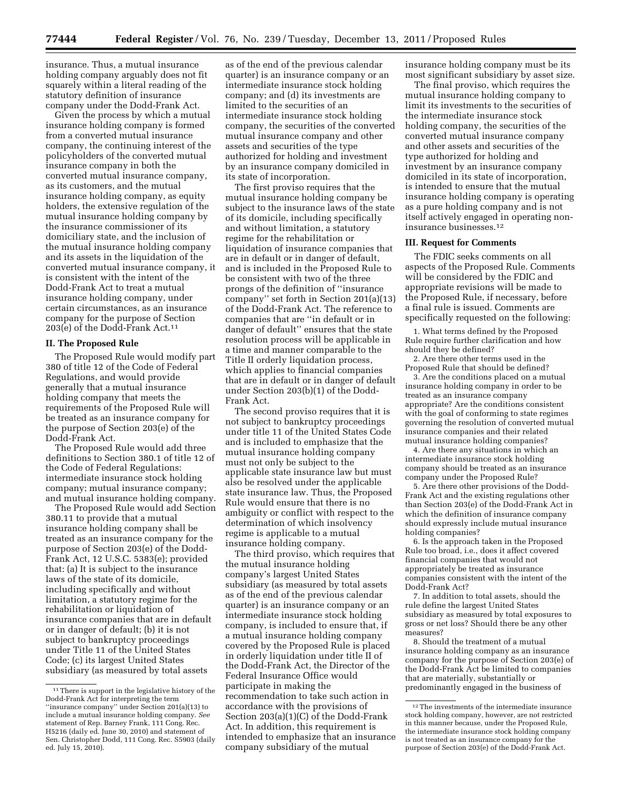insurance. Thus, a mutual insurance holding company arguably does not fit squarely within a literal reading of the statutory definition of insurance company under the Dodd-Frank Act.

Given the process by which a mutual insurance holding company is formed from a converted mutual insurance company, the continuing interest of the policyholders of the converted mutual insurance company in both the converted mutual insurance company, as its customers, and the mutual insurance holding company, as equity holders, the extensive regulation of the mutual insurance holding company by the insurance commissioner of its domiciliary state, and the inclusion of the mutual insurance holding company and its assets in the liquidation of the converted mutual insurance company, it is consistent with the intent of the Dodd-Frank Act to treat a mutual insurance holding company, under certain circumstances, as an insurance company for the purpose of Section 203(e) of the Dodd-Frank Act.11

#### **II. The Proposed Rule**

The Proposed Rule would modify part 380 of title 12 of the Code of Federal Regulations, and would provide generally that a mutual insurance holding company that meets the requirements of the Proposed Rule will be treated as an insurance company for the purpose of Section 203(e) of the Dodd-Frank Act.

The Proposed Rule would add three definitions to Section 380.1 of title 12 of the Code of Federal Regulations: intermediate insurance stock holding company; mutual insurance company; and mutual insurance holding company.

The Proposed Rule would add Section 380.11 to provide that a mutual insurance holding company shall be treated as an insurance company for the purpose of Section 203(e) of the Dodd-Frank Act, 12 U.S.C. 5383(e); provided that: (a) It is subject to the insurance laws of the state of its domicile, including specifically and without limitation, a statutory regime for the rehabilitation or liquidation of insurance companies that are in default or in danger of default; (b) it is not subject to bankruptcy proceedings under Title 11 of the United States Code; (c) its largest United States subsidiary (as measured by total assets

as of the end of the previous calendar quarter) is an insurance company or an intermediate insurance stock holding company; and (d) its investments are limited to the securities of an intermediate insurance stock holding company, the securities of the converted mutual insurance company and other assets and securities of the type authorized for holding and investment by an insurance company domiciled in its state of incorporation.

The first proviso requires that the mutual insurance holding company be subject to the insurance laws of the state of its domicile, including specifically and without limitation, a statutory regime for the rehabilitation or liquidation of insurance companies that are in default or in danger of default, and is included in the Proposed Rule to be consistent with two of the three prongs of the definition of ''insurance company'' set forth in Section 201(a)(13) of the Dodd-Frank Act. The reference to companies that are ''in default or in danger of default'' ensures that the state resolution process will be applicable in a time and manner comparable to the Title II orderly liquidation process, which applies to financial companies that are in default or in danger of default under Section 203(b)(1) of the Dodd-Frank Act.

The second proviso requires that it is not subject to bankruptcy proceedings under title 11 of the United States Code and is included to emphasize that the mutual insurance holding company must not only be subject to the applicable state insurance law but must also be resolved under the applicable state insurance law. Thus, the Proposed Rule would ensure that there is no ambiguity or conflict with respect to the determination of which insolvency regime is applicable to a mutual insurance holding company.

The third proviso, which requires that the mutual insurance holding company's largest United States subsidiary (as measured by total assets as of the end of the previous calendar quarter) is an insurance company or an intermediate insurance stock holding company, is included to ensure that, if a mutual insurance holding company covered by the Proposed Rule is placed in orderly liquidation under title II of the Dodd-Frank Act, the Director of the Federal Insurance Office would participate in making the recommendation to take such action in accordance with the provisions of Section 203(a)(1)(C) of the Dodd-Frank Act. In addition, this requirement is intended to emphasize that an insurance company subsidiary of the mutual

insurance holding company must be its most significant subsidiary by asset size.

The final proviso, which requires the mutual insurance holding company to limit its investments to the securities of the intermediate insurance stock holding company, the securities of the converted mutual insurance company and other assets and securities of the type authorized for holding and investment by an insurance company domiciled in its state of incorporation, is intended to ensure that the mutual insurance holding company is operating as a pure holding company and is not itself actively engaged in operating noninsurance businesses.12

#### **III. Request for Comments**

The FDIC seeks comments on all aspects of the Proposed Rule. Comments will be considered by the FDIC and appropriate revisions will be made to the Proposed Rule, if necessary, before a final rule is issued. Comments are specifically requested on the following:

1. What terms defined by the Proposed Rule require further clarification and how should they be defined?

2. Are there other terms used in the Proposed Rule that should be defined?

3. Are the conditions placed on a mutual insurance holding company in order to be treated as an insurance company appropriate? Are the conditions consistent with the goal of conforming to state regimes governing the resolution of converted mutual insurance companies and their related mutual insurance holding companies?

4. Are there any situations in which an intermediate insurance stock holding company should be treated as an insurance company under the Proposed Rule?

5. Are there other provisions of the Dodd-Frank Act and the existing regulations other than Section 203(e) of the Dodd-Frank Act in which the definition of insurance company should expressly include mutual insurance holding companies?

6. Is the approach taken in the Proposed Rule too broad, i.e., does it affect covered financial companies that would not appropriately be treated as insurance companies consistent with the intent of the Dodd-Frank Act?

7. In addition to total assets, should the rule define the largest United States subsidiary as measured by total exposures to gross or net loss? Should there be any other measures?

8. Should the treatment of a mutual insurance holding company as an insurance company for the purpose of Section 203(e) of the Dodd-Frank Act be limited to companies that are materially, substantially or predominantly engaged in the business of

<sup>&</sup>lt;sup>11</sup> There is support in the legislative history of the Dodd-Frank Act for interpreting the term ''insurance company'' under Section 201(a)(13) to include a mutual insurance holding company. *See*  statement of Rep. Barney Frank, 111 Cong. Rec. H5216 (daily ed. June 30, 2010) and statement of Sen. Christopher Dodd, 111 Cong. Rec. S5903 (daily ed. July 15, 2010).

<sup>&</sup>lt;sup>12</sup>The investments of the intermediate insurance stock holding company, however, are not restricted in this manner because, under the Proposed Rule, the intermediate insurance stock holding company is not treated as an insurance company for the purpose of Section 203(e) of the Dodd-Frank Act.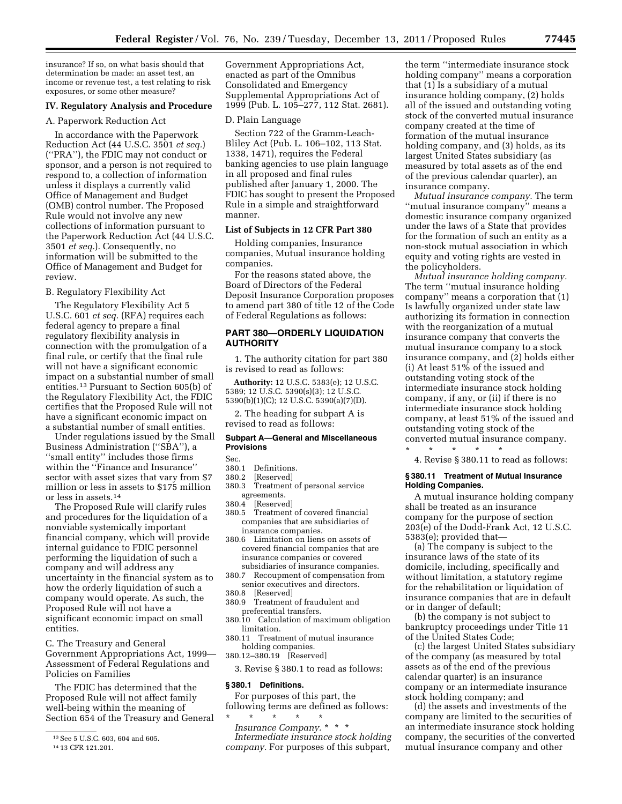insurance? If so, on what basis should that determination be made: an asset test, an income or revenue test, a test relating to risk exposures, or some other measure?

### **IV. Regulatory Analysis and Procedure**

### A. Paperwork Reduction Act

In accordance with the Paperwork Reduction Act (44 U.S.C. 3501 *et seq.*) (''PRA''), the FDIC may not conduct or sponsor, and a person is not required to respond to, a collection of information unless it displays a currently valid Office of Management and Budget (OMB) control number. The Proposed Rule would not involve any new collections of information pursuant to the Paperwork Reduction Act (44 U.S.C. 3501 *et seq.*). Consequently, no information will be submitted to the Office of Management and Budget for review.

### B. Regulatory Flexibility Act

The Regulatory Flexibility Act 5 U.S.C. 601 *et seq.* (RFA) requires each federal agency to prepare a final regulatory flexibility analysis in connection with the promulgation of a final rule, or certify that the final rule will not have a significant economic impact on a substantial number of small entities.13 Pursuant to Section 605(b) of the Regulatory Flexibility Act, the FDIC certifies that the Proposed Rule will not have a significant economic impact on a substantial number of small entities.

Under regulations issued by the Small Business Administration (''SBA''), a ''small entity'' includes those firms within the ''Finance and Insurance'' sector with asset sizes that vary from \$7 million or less in assets to \$175 million or less in assets.14

The Proposed Rule will clarify rules and procedures for the liquidation of a nonviable systemically important financial company, which will provide internal guidance to FDIC personnel performing the liquidation of such a company and will address any uncertainty in the financial system as to how the orderly liquidation of such a company would operate. As such, the Proposed Rule will not have a significant economic impact on small entities.

C. The Treasury and General Government Appropriations Act, 1999— Assessment of Federal Regulations and Policies on Families

The FDIC has determined that the Proposed Rule will not affect family well-being within the meaning of Section 654 of the Treasury and General Government Appropriations Act, enacted as part of the Omnibus Consolidated and Emergency Supplemental Appropriations Act of 1999 (Pub. L. 105–277, 112 Stat. 2681).

### D. Plain Language

Section 722 of the Gramm-Leach-Bliley Act (Pub. L. 106–102, 113 Stat. 1338, 1471), requires the Federal banking agencies to use plain language in all proposed and final rules published after January 1, 2000. The FDIC has sought to present the Proposed Rule in a simple and straightforward manner.

## **List of Subjects in 12 CFR Part 380**

Holding companies, Insurance companies, Mutual insurance holding companies.

For the reasons stated above, the Board of Directors of the Federal Deposit Insurance Corporation proposes to amend part 380 of title 12 of the Code of Federal Regulations as follows:

## **PART 380—ORDERLY LIQUIDATION AUTHORITY**

1. The authority citation for part 380 is revised to read as follows:

**Authority:** 12 U.S.C. 5383(e); 12 U.S.C. 5389; 12 U.S.C. 5390(s)(3); 12 U.S.C. 5390(b)(1)(C); 12 U.S.C. 5390(a)(7)(D).

2. The heading for subpart A is revised to read as follows:

### **Subpart A—General and Miscellaneous Provisions**

Sec.<br>380-1

- 380.1 Definitions.<br>380.2 [Reserved]
- [Reserved]
- 380.3 Treatment of personal service agreements.<br>380.4 [Reserve
- [Reserved]
- 380.5 Treatment of covered financial companies that are subsidiaries of insurance companies.
- 380.6 Limitation on liens on assets of covered financial companies that are insurance companies or covered subsidiaries of insurance companies.<br>380.7 Recoupment of compensation from
- Recoupment of compensation from senior executives and directors.
- 380.8 [Reserved]
	- Treatment of fraudulent and preferential transfers.
- 380.10 Calculation of maximum obligation limitation.
- 380.11 Treatment of mutual insurance holding companies.
- 380.12–380.19 [Reserved]
- 3. Revise § 380.1 to read as follows:

## **§ 380.1 Definitions.**

For purposes of this part, the following terms are defined as follows:

\* \* \* \* \* *Insurance Company.* \* \* \* *Intermediate insurance stock holding company.* For purposes of this subpart,

the term ''intermediate insurance stock holding company'' means a corporation that (1) Is a subsidiary of a mutual insurance holding company, (2) holds all of the issued and outstanding voting stock of the converted mutual insurance company created at the time of formation of the mutual insurance holding company, and (3) holds, as its largest United States subsidiary (as measured by total assets as of the end of the previous calendar quarter), an insurance company.

*Mutual insurance company.* The term ''mutual insurance company'' means a domestic insurance company organized under the laws of a State that provides for the formation of such an entity as a non-stock mutual association in which equity and voting rights are vested in the policyholders.

*Mutual insurance holding company.*  The term ''mutual insurance holding company'' means a corporation that (1) Is lawfully organized under state law authorizing its formation in connection with the reorganization of a mutual insurance company that converts the mutual insurance company to a stock insurance company, and (2) holds either (i) At least 51% of the issued and outstanding voting stock of the intermediate insurance stock holding company, if any, or (ii) if there is no intermediate insurance stock holding company, at least 51% of the issued and outstanding voting stock of the converted mutual insurance company.

\* \* \* \* \*

4. Revise § 380.11 to read as follows:

### **§ 380.11 Treatment of Mutual Insurance Holding Companies.**

A mutual insurance holding company shall be treated as an insurance company for the purpose of section 203(e) of the Dodd-Frank Act, 12 U.S.C. 5383(e); provided that—

(a) The company is subject to the insurance laws of the state of its domicile, including, specifically and without limitation, a statutory regime for the rehabilitation or liquidation of insurance companies that are in default or in danger of default;

(b) the company is not subject to bankruptcy proceedings under Title 11 of the United States Code;

(c) the largest United States subsidiary of the company (as measured by total assets as of the end of the previous calendar quarter) is an insurance company or an intermediate insurance stock holding company; and

(d) the assets and investments of the company are limited to the securities of an intermediate insurance stock holding company, the securities of the converted mutual insurance company and other

<sup>13</sup>See 5 U.S.C. 603, 604 and 605.

<sup>14</sup> 13 CFR 121.201.